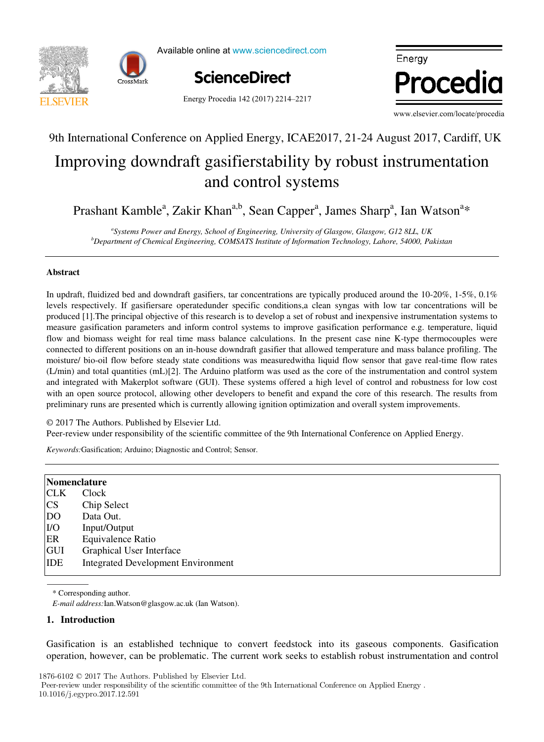



Available online at www.sciencedirect.com



Energy Procedia 142 (2017) 2214–2217

www.elsevier.com/locate/proceding/ Energy.com/locate/procedia energy  $\bullet$  weakling

www.elsevier.com/locate/procedia

, O. Le Correct de la Correct de la Correct de la Correct de la Correct de la Correct de la Correct de la Corr<br>1990 : la Correct de la Correct de la Correct de la Correct de la Correct de la Correct de la Correct de la Co

## In international Conference on Applied Energy, ICAE2017, 21-24 August 2017, Cardin, O gasifierstability by r Improving downdraft gasifierstability by robust instrumentation 9th International Conference on Applied Energy, ICAE2017, 21-24 August 2017, Cardiff, UK

### and control systems  $\sum_{i=1}^{n}$  $\frac{1}{2}$ and control systems and control systems and control systems and control systems

, P. Ferrão<sup>a</sup>

Prashant Kamble<sup>a</sup>, Zakir Khan<sup>a,b</sup>, Sean Capper<sup>a</sup>, James Sharp<sup>a</sup>, Ian Watson<sup>a</sup>\* Prashant Kamble<sup>a</sup>, Zakir Khan<sup>a,b</sup>, Sean Capper<sup>a</sup>, James Sharp<sup>a</sup>, Ian Watson<sup>a\*</sup>

<sup>a</sup>Systems Power and Energy, School of Engineering, University of Glasgow, Glasgow, G12 8LL, UK<br><sup>b</sup>Department of Chamical Engineering, COMSATS Institute of Information Technology, Labora, 54000, Pakistan properties to the did Energy, school of Engineering, Ontervaly of Statistics, Statistics, 212 SEE, OR BRISTING

, J. Fournier (1982)<br>1990 - Johann Barnett, politik etnis (1982)<br>1990 - John Barnett, politik etnis (1982)

., B. Lacarrière comme de la carrière de la carrière de la carrière de la carrière de la carrière de la carrièr<br>1990 : la carrière de la carrière de la carrière de la carrière de la carrière de la carrière de la carrière d

### *a* **Abstract Abstract Abstract Abstract**   $\frac{1}{2}$  is updated and downdraft gasifiers, the 10-20%, 1-5%, 1-5%, 0.1%, 1-5%, 0.1%, 1-5%, 0.1%, 0.1%, 0.1%, 0.1%, 0.1%, 0.1%, 0.1%, 0.1%, 0.1%, 0.1%, 0.1%, 0.1%, 0.1%, 0.1%, 0.1%, 0.1%, 0.1%, 0.1%, 0.1%, 0.1%, 0.1%, 0

I. Andrić

fluidized bed and downdraft gasifiers, tar concentrations are typically produced around the 10-20%, 1-5 flow and biomass weight for real time mass balance calculations. In the present case nine K-type thermocouples were moisture/ bio-oil flow before steady state conditions was measured with a liquid flow sensor that gave real-time flow rates (L/min) and total quantities (mL)[2]. The Arduino platform was used as the core of the instrumentation and control system and integrated with Makerplot software (GUI). These systems offered a high level of control and robustness for low cost with an open source protocol, allowing other developers to benefit and expand the core of this research. The results from preliminary runs are presented which is currently allowing ignition optimization and overall system improvements. In updraft, fluidized bed and downdraft gasifiers, tar concentrations are typically produced around the 10-20%, 1-5%, 0.1% levels respectively. If gastfiers are operated under specific conditions, a clean syngas with low tar concentrations will be produced [1]. The principal objective of this research is to develop a set of robust and inexpensive instrumentation systems to measure gasification parameters and inform control systems to improve gasification performance e.g. temperature, liquid connected to different positions on an in-house downdraft gasifier that allowed temperature and mass balance profiling. The preliminary runs are presented which is currently allowing ignition optimization and overall system improvements. connected to different positions on an in-house downdraft gasifier that allowed temperature and mass balance profiling. The preliminary runs are presented which is currently allowing ignition optimization and overall system improvements.

© 2017 The Authors. Published by Elsevier Ltd.

 $\mathcal{L}_{\text{out}}$  in both construction period and typology. The variant construction period  $\mathcal{L}_{\text{out}}$  and the period  $\mathcal{L}_{\text{out}}$ receptive we did the expensionity of the setembre committee of the zin international conference on repplied energy. Section of the Address. Fubrished by Elsevier Edd.<br>Peer-review under responsibility of the scientific committee of the 9th International Conference on Applied Energy. Peer-review under responsibility of the scientific committee of the 9th International Conference on Applied Energy.

Keywords: Gasification; Arduino; Diagnostic and Control; Sensor. Peer-review under responsibility of the scientific committee of the 9th International Conference on Applied Energy.

<mark>a,b,c. A. Pinaa,</mark>b,c. A. Pinaa,b,c. A. Pinaa,b,c. A. Pinaa,b,c. A. Pinaa,b,c. A. Pinaa,b,c. A. Pinaa,b,c. A. Pin

| Nomenclature |                                           |  |
|--------------|-------------------------------------------|--|
| <b>CLK</b>   | Clock                                     |  |
| <b>CS</b>    | Chip Select                               |  |
| <b>DO</b>    | Data Out.                                 |  |
| I/O          | Input/Output                              |  |
| ER           | Equivalence Ratio                         |  |
| GUI          | Graphical User Interface                  |  |
| IDE          | <b>Integrated Development Environment</b> |  |

The results showed that when only weather change is considered, the margin of error could be acceptable for some applications

\* Corresponding author. \* Corresponding author.

*Keywords:* Heat demand; Forecast; Climate change *E-mail address:*Ian.Watson@glasgow.ac.uk (Ian Watson). *E-mail address:*Ian.Watson@glasgow.ac.uk (Ian Watson). \* Corresponding author. *E-mail address:*Ian.Watson@glasgow.ac.uk (Ian Watson).

 $1876-2012$ 

## **1.** Introduction **1. Introduction**

operation, however, can be problematic. The current work seeks to establish robust instrumentation and control Peer-review under responsibility of the Scientific Committee of The 15th International Symposium on District Heating and Cooling. Gasification is an established technique to convert feedstock into its gaseous components. Gasification **1. Introduction 1. Introduction**  operation, however, can be problematic. The current work seeks to establish robust instrumentation and control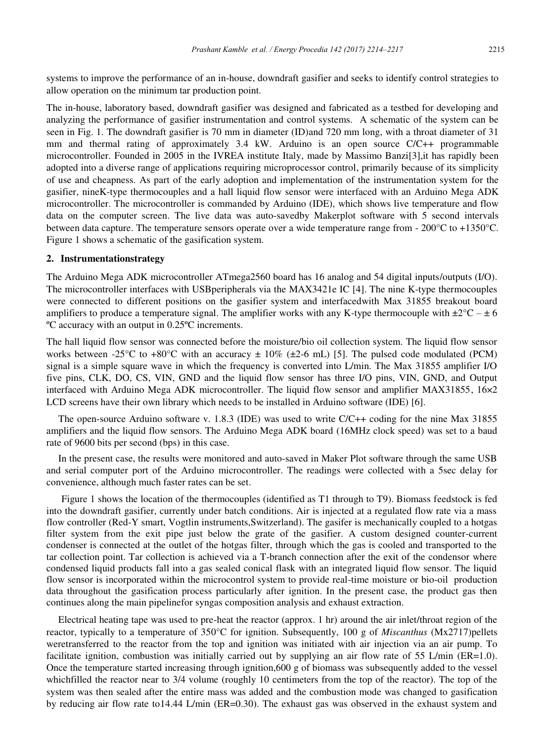systems to improve the performance of an in-house, downdraft gasifier and seeks to identify control strategies to allow operation on the minimum tar production point. allow operation on the minimum tar production point. m and thermal rating of approximately 3.4 kW. Arduino is an open source  $\mathbf{r}$  , problem source  $\mathbf{r}$  $T_{\text{Sylents}}$  to hiprove the performance of all in-house, downdraft gasifier and seeks to definity control strategies to systems to improve the performance of an in-house, downdraft gasifier and seeks to identify control strategies to

The in-house, laboratory based, downdraft gasifier was designed and fabricated as a testbed for developing and analyzing the performance of gasifier instrumentation and control systems. A schematic of the system can be<br>seen in Fig. 1. The doundreft gasifier is 70 mm in diameter (ID) and 720 mm long, with a threat diameter of 31 seen in Fig. 1. The downdraft gasifier is 70 mm in diameter (ID) and 720 mm long, with a throat diameter of 31 mm and thermal rating of approximately 3.4 kW. Arduino is an open source C/C++ programmable min and distinct raing or approximately 3.1 KW. That the state of source COTT programmatic<br>microcontroller. Founded in 2005 in the IVREA institute Italy, made by Massimo Banzi[3], it has rapidly been adopted into a diverse range of applications requiring microprocessor control, primarily because of its simplicity of use and cheapness. As part of the early adoption and implementation of the instrumentation system for the gasifier, nineK-type thermocouples and a hall liquid flow sensor were interfaced with an Arduino Mega ADK data on the computer screen. The live data was auto-savedby Makerplot software with 5 second intervals Figure 1 shows a schematic of the gasification system. microcontroller. The microcontroller is commanded by Arduino (IDE), which shows live temperature and flow **2. between data capture. The tem**  $T_{\rm c}$  and  $560$  board has 16 analog and 54 digital inputs (I/O). The in-house, laboratory based, downdraft gasitier was designed and fabricated as a testbed for developing and<br>analyzing the performance of gasifier instrumentation and control systems. A schematic of the system can be<br>see mm and thermal rating of approximately 3.4 kW. Arduino is an open source C/C++ programmable between data capture. The temperature sensors operate over a wide temperature range from - 200°C to +1350°C. The in-house, laboratory based, downdraft gasifier was designed and fabricated as a testbed for developing and Figure 1 shows a schematic of the gasification system. Figure 1 shows a schematic of the gasification system. Figure 1 shows a schematic of the gasification system. min and distinct rating or approximately 3.1 KW. Tradition is an open scarce of a postparamation<br>microcontroller. Founded in 2005 in the IVREA institute Italy, made by Massimo Banzi[3], it has rapidly been<br>adopted into a

#### 2. Instrumentationstrategy  $\mathbb{R}$  constructions on the gas interface  $\mathbb{R}$  system and interfaced with  $\mathbb{R}$ **2. Instrumentationstrategy 2. Instrumentationstrategy 2. Instrumentationstrategy**

The Arduino Mega ADK microcontroller ATmega2560 board has 16 analog and 54 digital inputs/outputs (I/O). 2. Instrumentationstrategy<br>The Arduino Mega ADK microcontroller ATmega2560 board has 16 analog and 54 digital inputs/outputs (I/O).<br>The microcontroller interfaces with USBperipherals via the MAX3421e IC [4]. The nine K-typ amplifiers to produce a temperature signal. The amplifier works with any K-type thermocouple with  $\pm 2^{\circ}\text{C} - \pm 6$ amplifiers to produce a temperature signar. The amplifier works with any K-type thermocouple with  $\pm 2 \le -\pm 6$ <br><sup>o</sup>C accuracy with an output in 0.25<sup>o</sup>C increments. were connected to different positions on the gasifier system and interfaced with Max 31855 breakout board The interocontroller interacts with OSB<br>peripherals via the MAX3421C IC [4]. The link K-type thermocouples<br>were connected to different positions on the gasifier system and interfaced<br>with Max 31855 breakout board<br>amplifie amplifiers to produce a temperature signal. The amplifier works with any K-type thermocouple with  $\pm 2^{\circ}\text{C} - \pm 6$ <br>SC assumes with an autuatin 0.258G incorporate

signal is a simple structure wave into Late the frequency is converted in the structure  $\frac{1}{\sqrt{2}}$ . The hall liquid flow sensor works between -25°C to +80°C with an accuracy  $\pm 10\%$  ( $\pm$ 2-6 mL) [5]. The pulsed code modulated (PCM) signal is a simple square wave in which the frequency is converted into L/min. The Max 31855 amplifier I/O five pins, CLK, DO, CS, VIN, GND and the liquid flow sensor has three I/O pins, VIN, C The open-source Arduino software v. 1.8.3 (IDE) was used to write C/C++ coding for the nine  $\frac{1}{2}$  The nine Max 31855  $\frac{1}{2}$  The nine Max 31855  $\frac{1}{2}$  The nine Max 31855  $\frac{1}{2}$  The nine Max 31855  $\frac{1}{2}$  The amplifiers and the liquid flow sensors. The Arduino  $M$  board (16MHz clock speed) was set to a baudino  $M$ The hall liquid flow sensor was connected before the moisture/bio oil collection system. The liquid flow sensor C accuracy with an output in 0.25°C increments.<br>The hall liquid flow sensor was connected before the moisture/bio oil collection system. The liquid flow sensor<br>works between -25°C to +80°C with an accuracy  $\pm 10\%$  ( $\pm$ interfaced with Arduino Mega ADK microcontroller. The liquid flow sensor and amplifier MAX31855, 16×2 The hall liquid flow sensor was connected before the moisture/bio oil collection system. The liquid flow sensor works between  $-25^{\circ}$ C to  $+80^{\circ}$ C with an accuracy  $\pm 10\%$  ( $\pm 2.6$  mL) [5]. The pulsed code modulated (PCM) signal is a simple square wave in which the frequency is converted into L/min. The Max 31855 amplifier I/O signal is a simple square wave in which the frequency is converted into L/min. The Max 31855 amplifier I/O five pins, CLK, DO, CS, VIN, GND and the liquid flow sensor has three I/O pins, VIN, GND, and Output interfaced wit LCD screens have their own library which needs to be installed in Arduino software (IDE) [6]. LCD screens have their own library which needs to be installed in Arduino software (IDE) [6].  $EED$  servers have then own horary winen needs to be instanced in Arduino software (IDE) [0].

The open-source Arduino software v. 1.8.3 (IDE) was used to write  $C/C++$  coding for the nine Max 31855 rate of 9600 bits per second (bps) in this case. amplifiers and the liquid flow sensors. The Arduino Mega ADK board (16MHz clock speed) was set to a baud

In the present case, the results were monitored and auto-saved in Maker Plot software through the same USB In the present case, the results were monitored and auto-saved in Maker Plot software through the same USB<br>and serial computer port of the Arduino microcontroller. The readings were collected with a 5sec delay for convenience, although much faster rates can be set. In the present case, the results were monitored and serial computer port of the Arduino mic In the present case, the results were monitored and alto-saved in Maker Plot software through the same OSB

 Figure 1 shows the location of the thermocouples (identified as T1 through to T9). Biomass feedstock is fed Figure 1 shows the location of the thermocouples (identified as T1 through to T9). Biomass feedstock is fed into the downdraft gasifier, currently under batch conditions. Air is injected at a regulated flow rate via a mass the dividend gashed, carrently under batch conditions. An is injected at a regulated from tale via a mass<br>flow controller (Red-Y smart, Vogtlin instruments, Switzerland). The gasifer is mechanically coupled to a hotgas filter system from the exit pipe just below the grate of the gasifier. A custom designed counter-current condenser is connected at the outlet of the hotgas filter, through which the gas is cooled and transported to the tar collection point. Tar collection is achieved via a T-branch connection after the exit of the condensor where condensed liquid products fall into a gas sealed conical flask with an integrated liquid flow sensor. The liquid resolutions in the products fail line a gas search collect hask with an integrated in the sensor. The induction<br>flow sensor is incorporated within the microcontrol system to provide real-time moisture or bio-oil production data throughout the gasification process particularly after ignition. In the present case, the product gas then continues along the main pipelinefor syngas composition analysis and exhaust extraction. continues along the main pipelinefor syngas composition analysis and exhaust extraction. Figure 1 shows the location of the thermocouples (identified as T1 through to T9). Biomass feedstock is fed<br>into the doundraft gestion, europtly under batch conditions. Air is injected at a regulated flow rate via a mass Figure 1 shows the location of the thermocouples (identified as T1 through to T9). Biomass feedstock is fed<br>into the downdraft gasifier, currently under batch conditions. Air is injected at a regulated flow rate via a mass flow controller (Red-Y smart, Vogtlin instruments, Switzerland). The gasifer is mechanically coupled to a hotgas filter system from the exit pipe just below the grate of the gasifier. A custom designed counter-current filter system from the exit pipe just below the grate of the gasifier. A custom designed counter-current condenser is connected at the outlet of the hotgas filter, through which the gas is cooled and transported to the tar tar collection point. Tar collection is achieved via a T-branch connection after the exit of the condensor where tar collection point. Tar collection is achieved via a T-branch connection after the exit of the condensor where<br>condensed liquid products fall into a gas sealed conical flask with an integrated liquid flow sensor. The liq flow sensor is incorporated within the microcontrol system to provide real-time moisture or bio-oil production flow sensor is incorporated within the microcontrol system to provide real-time moisture or bio-oil production<br>data throughout the gasification process particularly after ignition. In the present case, the product gas then condenser is connected at the outlet of the hotgas filter, through which the gas is cooled and transported to the tar collection point. Tar collection is achieved via a T-branch connection after the exit of the condensor w

Electrical heating tape was used to pre-heat the reactor (approx. 1 hr) around the air inlet/throat region of the expected neutring tape was asset to product the better (approx. 1 m) around the an interaction region of the<br>reactor, typically to a temperature of 350°C for ignition. Subsequently, 100 g of *Miscanthus* (Mx2717)pellets exercise heating tape was used to pre-heat the reactor (approx. 1 m) around the an interactional region of the<br>reactor, typically to a temperature of 350°C for ignition. Subsequently, 100 g of *Miscanthus* (Mx2717)pellets<br> facilitate ignition, combustion was initially carried out by supplying an air flow rate of 55 L/min (ER=1.0). facilitate ignition, combustion was initially carried out by supplying an air flow rate of 55 L/min (ER=1.0).<br>Once the temperature started increasing through ignition,600 g of biomass was subsequently added to the vessel<br> once the temperature started increasing unough ignition,000 g or biomass was subsequently added to the vesser<br>whichfilled the reactor near to 3/4 volume (roughly 10 centimeters from the top of the reactor). The top of the which the teacher hear to 3/4 volume (loughly 10 centrifierers from the top of the reactor). The top of the system was then sealed after the entire mass was added and the combustion mode was changed to gasification by reducing air flow rate to14.44 L/min (ER=0.30). The exhaust gas was observed in the exhaust system and by reducing air flow rate to14.44 L/min (ER=0.30). The exhaust gas was observed in the exhaust system and by reducing air flow rate to 14.44 L/min (ER=0.30). The exhaust gas was observed in the exhaust system and by reducing air flow rate to 14.44 L/min (ER=0.30). The exhaust gas was observed in the exhaust system and Electrical heating tape was used to pre-heat the reactor (approx. 1 hr) around the air inlet/throat region of the reactor, typically to a temperature of  $350^{\circ}$ C for ignition. Subsequently, 100 g of *Miscanthus* (Mx2717 by reducing an now rate to  $34.44$  L/mm (ER=0.50). The exhaust gas was observed in the exhaust system and  $f_{\text{S}}$  is the state and the entry mass was independent on  $f_{\text{S}}$  and  $f_{\text{S}}$  and  $f_{\text{S}}$  and  $f_{\text{S}}$  are  $f_{\text{S}}$  and  $f_{\text{S}}$  and  $f_{\text{S}}$  and  $f_{\text{S}}$  are  $f_{\text{S}}$  and  $f_{\text{S}}$  are  $f_{\text{S}}$  and  $f_{\text{$ by reducing air flow rate to 14.44 L/min (ER=0.30). The exhaust gas was observed in the exhaust system and once the temperature started increasing unough ignition,000 g or biomass was subsequently added to the vesser<br>whichfilled the reactor near to 3/4 volume (roughly 10 centimeters from the top of the reactor). The top of the<br>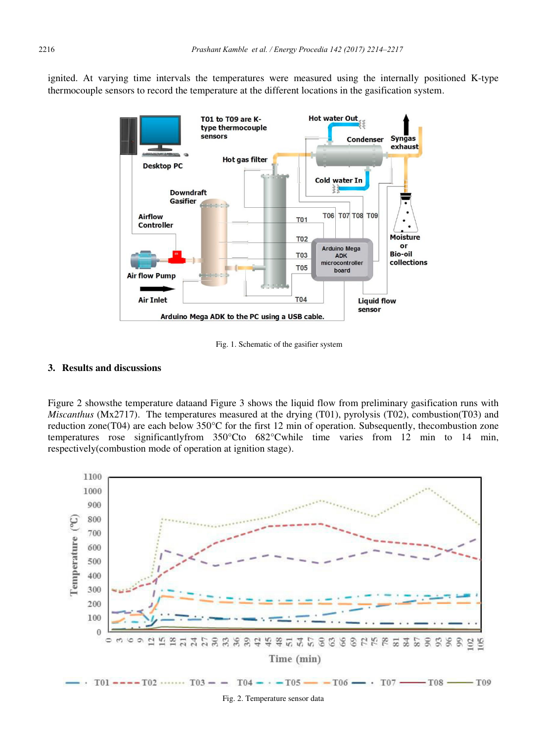ignited. At varying time intervals the temperatures were measured using the internally positioned K-type thermocouple sensors to record the temperature at the different locations in the gasification system.



Fig. 1. Schematic of the gasifier system

### **3. Results and discussions**

Figure 2 showsthe temperature dataand Figure 3 shows the liquid flow from preliminary gasification runs with *Miscanthus* (Mx2717). The temperatures measured at the drying (T01), pyrolysis (T02), combustion(T03) and reduction zone(T04) are each below 350°C for the first 12 min of operation. Subsequently, thecombustion zone temperatures rose significantlyfrom 350°Cto 682°Cwhile time varies from 12 min to 14 min, respectively(combustion mode of operation at ignition stage).



Fig. 2. Temperature sensor data